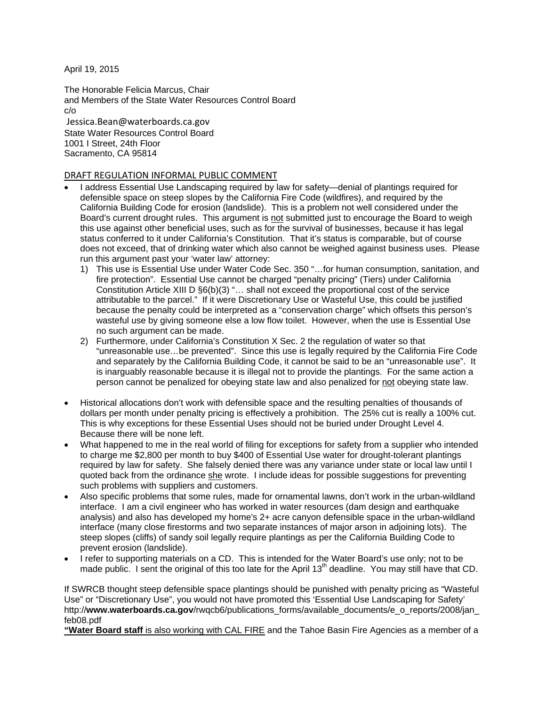April 19, 2015

The Honorable Felicia Marcus, Chair and Members of the State Water Resources Control Board c/o Jessica.Bean@waterboards.ca.gov State Water Resources Control Board 1001 I Street, 24th Floor Sacramento, CA 95814

### DRAFT REGULATION INFORMAL PUBLIC COMMENT

- I address Essential Use Landscaping required by law for safety—denial of plantings required for defensible space on steep slopes by the California Fire Code (wildfires), and required by the California Building Code for erosion (landslide). This is a problem not well considered under the Board's current drought rules. This argument is not submitted just to encourage the Board to weigh this use against other beneficial uses, such as for the survival of businesses, because it has legal status conferred to it under California's Constitution. That it's status is comparable, but of course does not exceed, that of drinking water which also cannot be weighed against business uses. Please run this argument past your 'water law' attorney:
	- 1) This use is Essential Use under Water Code Sec. 350 "…for human consumption, sanitation, and fire protection". Essential Use cannot be charged "penalty pricing" (Tiers) under California Constitution Article XIII D §6(b)(3) "… shall not exceed the proportional cost of the service attributable to the parcel." If it were Discretionary Use or Wasteful Use, this could be justified because the penalty could be interpreted as a "conservation charge" which offsets this person's wasteful use by giving someone else a low flow toilet. However, when the use is Essential Use no such argument can be made.
	- 2) Furthermore, under California's Constitution X Sec. 2 the regulation of water so that "unreasonable use…be prevented". Since this use is legally required by the California Fire Code and separately by the California Building Code, it cannot be said to be an "unreasonable use". It is inarguably reasonable because it is illegal not to provide the plantings. For the same action a person cannot be penalized for obeying state law and also penalized for not obeying state law.
- Historical allocations don't work with defensible space and the resulting penalties of thousands of dollars per month under penalty pricing is effectively a prohibition. The 25% cut is really a 100% cut. This is why exceptions for these Essential Uses should not be buried under Drought Level 4. Because there will be none left.
- What happened to me in the real world of filing for exceptions for safety from a supplier who intended to charge me \$2,800 per month to buy \$400 of Essential Use water for drought-tolerant plantings required by law for safety. She falsely denied there was any variance under state or local law until I quoted back from the ordinance she wrote. I include ideas for possible suggestions for preventing such problems with suppliers and customers.
- Also specific problems that some rules, made for ornamental lawns, don't work in the urban-wildland interface. I am a civil engineer who has worked in water resources (dam design and earthquake analysis) and also has developed my home's 2+ acre canyon defensible space in the urban-wildland interface (many close firestorms and two separate instances of major arson in adjoining lots). The steep slopes (cliffs) of sandy soil legally require plantings as per the California Building Code to prevent erosion (landslide).
- I refer to supporting materials on a CD. This is intended for the Water Board's use only; not to be made public. I sent the original of this too late for the April 13<sup>th</sup> deadline. You may still have that CD.

If SWRCB thought steep defensible space plantings should be punished with penalty pricing as "Wasteful Use" or "Discretionary Use", you would not have promoted this 'Essential Use Landscaping for Safety' http://www.waterboards.ca.gov/rwqcb6/publications\_forms/available\_documents/e\_o\_reports/2008/jan feb08.pdf

**"Water Board staff** is also working with CAL FIRE and the Tahoe Basin Fire Agencies as a member of a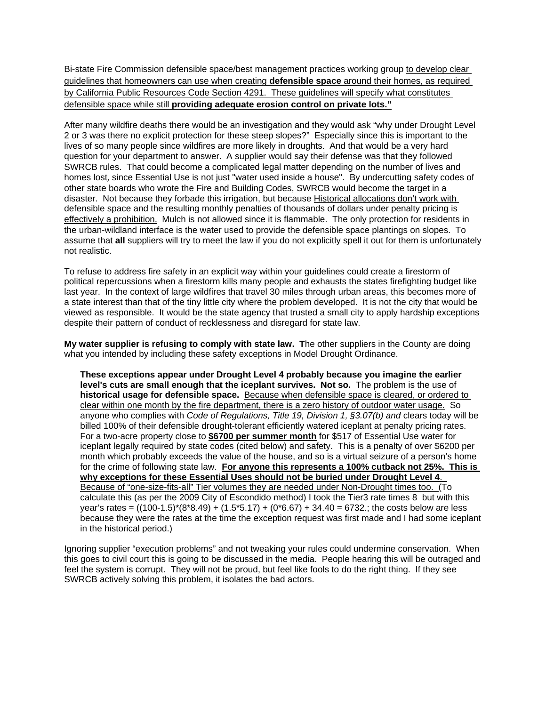Bi-state Fire Commission defensible space/best management practices working group to develop clear guidelines that homeowners can use when creating **defensible space** around their homes, as required by California Public Resources Code Section 4291. These guidelines will specify what constitutes defensible space while still **providing adequate erosion control on private lots."**

After many wildfire deaths there would be an investigation and they would ask "why under Drought Level 2 or 3 was there no explicit protection for these steep slopes?" Especially since this is important to the lives of so many people since wildfires are more likely in droughts. And that would be a very hard question for your department to answer. A supplier would say their defense was that they followed SWRCB rules. That could become a complicated legal matter depending on the number of lives and homes lost, since Essential Use is not just "water used inside a house". By undercutting safety codes of other state boards who wrote the Fire and Building Codes, SWRCB would become the target in a disaster. Not because they forbade this irrigation, but because Historical allocations don't work with defensible space and the resulting monthly penalties of thousands of dollars under penalty pricing is effectively a prohibition. Mulch is not allowed since it is flammable. The only protection for residents in the urban-wildland interface is the water used to provide the defensible space plantings on slopes. To assume that **all** suppliers will try to meet the law if you do not explicitly spell it out for them is unfortunately not realistic.

To refuse to address fire safety in an explicit way within your guidelines could create a firestorm of political repercussions when a firestorm kills many people and exhausts the states firefighting budget like last year. In the context of large wildfires that travel 30 miles through urban areas, this becomes more of a state interest than that of the tiny little city where the problem developed. It is not the city that would be viewed as responsible. It would be the state agency that trusted a small city to apply hardship exceptions despite their pattern of conduct of recklessness and disregard for state law.

**My water supplier is refusing to comply with state law. T**he other suppliers in the County are doing what you intended by including these safety exceptions in Model Drought Ordinance.

**These exceptions appear under Drought Level 4 probably because you imagine the earlier level's cuts are small enough that the iceplant survives. Not so.** The problem is the use of **historical usage for defensible space.** Because when defensible space is cleared, or ordered to clear within one month by the fire department, there is a zero history of outdoor water usage. So anyone who complies with *Code of Regulations, Title 19, Division 1, §3.07(b) and* clears today will be billed 100% of their defensible drought-tolerant efficiently watered iceplant at penalty pricing rates. For a two-acre property close to **\$6700 per summer month** for \$517 of Essential Use water for iceplant legally required by state codes (cited below) and safety. This is a penalty of over \$6200 per month which probably exceeds the value of the house, and so is a virtual seizure of a person's home for the crime of following state law. **For anyone this represents a 100% cutback not 25%. This is why exceptions for these Essential Uses should not be buried under Drought Level 4**. Because of "one-size-fits-all" Tier volumes they are needed under Non-Drought times too. (To calculate this (as per the 2009 City of Escondido method) I took the Tier3 rate times 8 but with this year's rates =  $((100-1.5)*(8.49) + (1.5*5.17) + (0*6.67) + 34.40 = 6732$ ; the costs below are less because they were the rates at the time the exception request was first made and I had some iceplant in the historical period.)

Ignoring supplier "execution problems" and not tweaking your rules could undermine conservation. When this goes to civil court this is going to be discussed in the media. People hearing this will be outraged and feel the system is corrupt. They will not be proud, but feel like fools to do the right thing. If they see SWRCB actively solving this problem, it isolates the bad actors.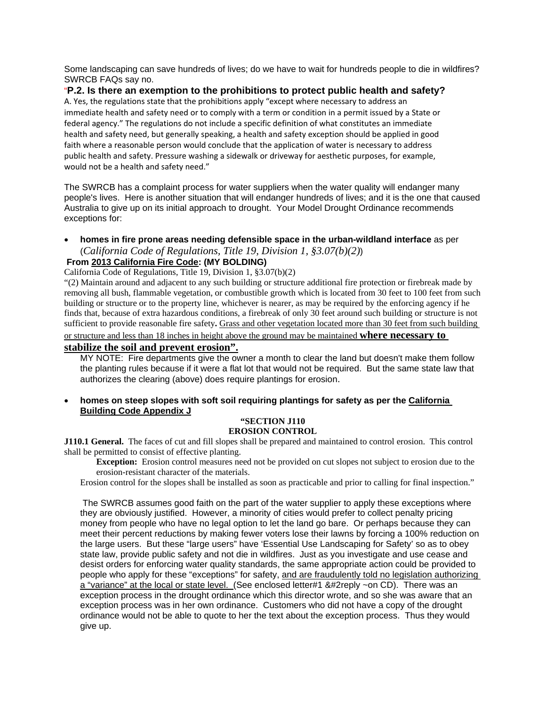Some landscaping can save hundreds of lives; do we have to wait for hundreds people to die in wildfires? SWRCB FAQs say no.

## "**P.2. Is there an exemption to the prohibitions to protect public health and safety?**

A. Yes, the regulations state that the prohibitions apply "except where necessary to address an immediate health and safety need or to comply with a term or condition in a permit issued by a State or federal agency." The regulations do not include a specific definition of what constitutes an immediate health and safety need, but generally speaking, a health and safety exception should be applied in good faith where a reasonable person would conclude that the application of water is necessary to address public health and safety. Pressure washing a sidewalk or driveway for aesthetic purposes, for example, would not be a health and safety need."

The SWRCB has a complaint process for water suppliers when the water quality will endanger many people's lives. Here is another situation that will endanger hundreds of lives; and it is the one that caused Australia to give up on its initial approach to drought. Your Model Drought Ordinance recommends exceptions for:

• **homes in fire prone areas needing defensible space in the urban-wildland interface** as per (*California Code of Regulations, Title 19, Division 1, §3.07(b)(2)*)

# **From 2013 California Fire Code: (MY BOLDING)**

California Code of Regulations, Title 19, Division 1, §3.07(b)(2)

"(2) Maintain around and adjacent to any such building or structure additional fire protection or firebreak made by removing all bush, flammable vegetation, or combustible growth which is located from 30 feet to 100 feet from such building or structure or to the property line, whichever is nearer, as may be required by the enforcing agency if he finds that, because of extra hazardous conditions, a firebreak of only 30 feet around such building or structure is not sufficient to provide reasonable fire safety**.** Grass and other vegetation located more than 30 feet from such building

or structure and less than 18 inches in height above the ground may be maintained **where necessary to** 

# **stabilize the soil and prevent erosion".**

MY NOTE: Fire departments give the owner a month to clear the land but doesn't make them follow the planting rules because if it were a flat lot that would not be required. But the same state law that authorizes the clearing (above) does require plantings for erosion.

#### • **homes on steep slopes with soft soil requiring plantings for safety as per the California Building Code Appendix J**

#### **"SECTION J110 EROSION CONTROL**

**J110.1 General.** The faces of cut and fill slopes shall be prepared and maintained to control erosion. This control shall be permitted to consist of effective planting.

**Exception:** Erosion control measures need not be provided on cut slopes not subject to erosion due to the erosion-resistant character of the materials.

Erosion control for the slopes shall be installed as soon as practicable and prior to calling for final inspection."

 The SWRCB assumes good faith on the part of the water supplier to apply these exceptions where they are obviously justified. However, a minority of cities would prefer to collect penalty pricing money from people who have no legal option to let the land go bare. Or perhaps because they can meet their percent reductions by making fewer voters lose their lawns by forcing a 100% reduction on the large users. But these "large users" have 'Essential Use Landscaping for Safety' so as to obey state law, provide public safety and not die in wildfires. Just as you investigate and use cease and desist orders for enforcing water quality standards, the same appropriate action could be provided to people who apply for these "exceptions" for safety, and are fraudulently told no legislation authorizing a "variance" at the local or state level. (See enclosed letter#1 &#2reply ~on CD). There was an exception process in the drought ordinance which this director wrote, and so she was aware that an exception process was in her own ordinance. Customers who did not have a copy of the drought ordinance would not be able to quote to her the text about the exception process. Thus they would give up.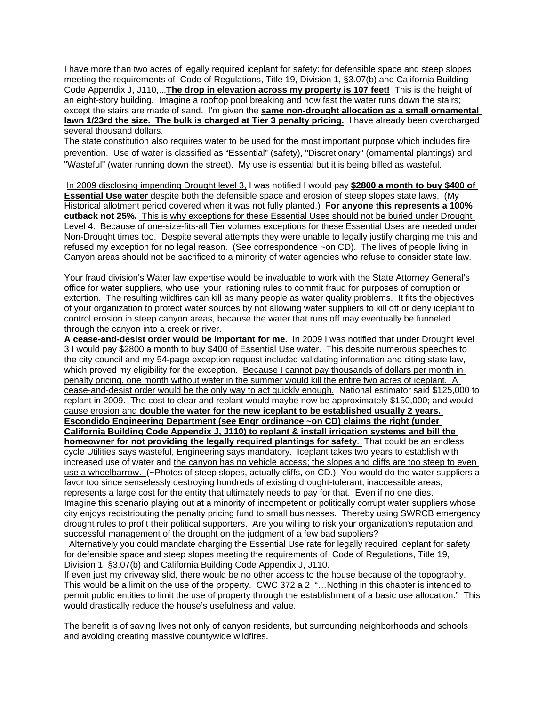I have more than two acres of legally required iceplant for safety: for defensible space and steep slopes meeting the requirements of Code of Regulations, Title 19, Division 1, §3.07(b) and California Building Code Appendix J, J110,...**The drop in elevation across my property is 107 feet!** This is the height of an eight-story building. Imagine a rooftop pool breaking and how fast the water runs down the stairs; except the stairs are made of sand. I'm given the **same non-drought allocation as a small ornamental lawn 1/23rd the size. The bulk is charged at Tier 3 penalty pricing.** I have already been overcharged several thousand dollars.

The state constitution also requires water to be used for the most important purpose which includes fire prevention. Use of water is classified as "Essential" (safety), "Discretionary" (ornamental plantings) and "Wasteful" (water running down the street). My use is essential but it is being billed as wasteful.

 In 2009 disclosing impending Drought level 3, I was notified I would pay **\$2800 a month to buy \$400 of Essential Use water** despite both the defensible space and erosion of steep slopes state laws. (My Historical allotment period covered when it was not fully planted.) **For anyone this represents a 100% cutback not 25%.** This is why exceptions for these Essential Uses should not be buried under Drought Level 4. Because of one-size-fits-all Tier volumes exceptions for these Essential Uses are needed under Non-Drought times too. Despite several attempts they were unable to legally justify charging me this and refused my exception for no legal reason. (See correspondence ~on CD). The lives of people living in Canyon areas should not be sacrificed to a minority of water agencies who refuse to consider state law.

Your fraud division's Water law expertise would be invaluable to work with the State Attorney General's office for water suppliers, who use your rationing rules to commit fraud for purposes of corruption or extortion. The resulting wildfires can kill as many people as water quality problems. It fits the objectives of your organization to protect water sources by not allowing water suppliers to kill off or deny iceplant to control erosion in steep canyon areas, because the water that runs off may eventually be funneled through the canyon into a creek or river.

**A cease-and-desist order would be important for me.** In 2009 I was notified that under Drought level 3 I would pay \$2800 a month to buy \$400 of Essential Use water. This despite numerous speeches to the city council and my 54-page exception request included validating information and citing state law, which proved my eligibility for the exception. Because I cannot pay thousands of dollars per month in penalty pricing, one month without water in the summer would kill the entire two acres of iceplant. A cease-and-desist order would be the only way to act quickly enough. National estimator said \$125,000 to replant in 2009. The cost to clear and replant would maybe now be approximately \$150,000; and would cause erosion and **double the water for the new iceplant to be established usually 2 years. Escondido Engineering Department (see Engr ordinance ~on CD) claims the right (under California Building Code Appendix J, J110) to replant & install irrigation systems and bill the homeowner for not providing the legally required plantings for safety**. That could be an endless cycle Utilities says wasteful, Engineering says mandatory. Iceplant takes two years to establish with increased use of water and the canyon has no vehicle access; the slopes and cliffs are too steep to even use a wheelbarrow. (~Photos of steep slopes, actually cliffs, on CD.) You would do the water suppliers a favor too since senselessly destroying hundreds of existing drought-tolerant, inaccessible areas, represents a large cost for the entity that ultimately needs to pay for that. Even if no one dies. Imagine this scenario playing out at a minority of incompetent or politically corrupt water suppliers whose city enjoys redistributing the penalty pricing fund to small businesses. Thereby using SWRCB emergency drought rules to profit their political supporters. Are you willing to risk your organization's reputation and successful management of the drought on the judgment of a few bad suppliers?

 Alternatively you could mandate charging the Essential Use rate for legally required iceplant for safety for defensible space and steep slopes meeting the requirements of Code of Regulations, Title 19, Division 1, §3.07(b) and California Building Code Appendix J, J110.

If even just my driveway slid, there would be no other access to the house because of the topography. This would be a limit on the use of the property. CWC 372 a 2 "…Nothing in this chapter is intended to permit public entities to limit the use of property through the establishment of a basic use allocation." This would drastically reduce the house's usefulness and value.

The benefit is of saving lives not only of canyon residents, but surrounding neighborhoods and schools and avoiding creating massive countywide wildfires.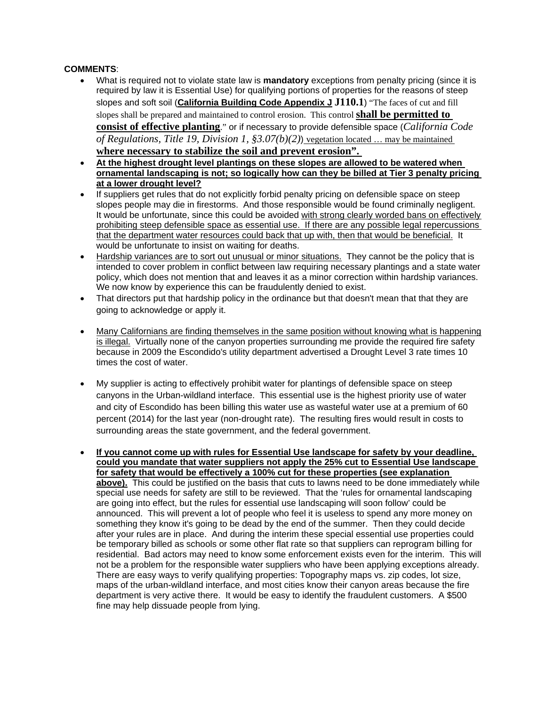### **COMMENTS**:

- What is required not to violate state law is **mandatory** exceptions from penalty pricing (since it is required by law it is Essential Use) for qualifying portions of properties for the reasons of steep slopes and soft soil (**California Building Code Appendix J J110.1**) "The faces of cut and fill slopes shall be prepared and maintained to control erosion. This control **shall be permitted to consist of effective planting**." or if necessary to provide defensible space (*California Code of Regulations, Title 19, Division 1, §3.07(b)(2)*) vegetation located … may be maintained **where necessary to stabilize the soil and prevent erosion".**
- **At the highest drought level plantings on these slopes are allowed to be watered when ornamental landscaping is not; so logically how can they be billed at Tier 3 penalty pricing at a lower drought level?**
- If suppliers get rules that do not explicitly forbid penalty pricing on defensible space on steep slopes people may die in firestorms. And those responsible would be found criminally negligent. It would be unfortunate, since this could be avoided with strong clearly worded bans on effectively prohibiting steep defensible space as essential use. If there are any possible legal repercussions that the department water resources could back that up with, then that would be beneficial. It would be unfortunate to insist on waiting for deaths.
- Hardship variances are to sort out unusual or minor situations. They cannot be the policy that is intended to cover problem in conflict between law requiring necessary plantings and a state water policy, which does not mention that and leaves it as a minor correction within hardship variances. We now know by experience this can be fraudulently denied to exist.
- That directors put that hardship policy in the ordinance but that doesn't mean that that they are going to acknowledge or apply it.
- Many Californians are finding themselves in the same position without knowing what is happening is illegal. Virtually none of the canyon properties surrounding me provide the required fire safety because in 2009 the Escondido's utility department advertised a Drought Level 3 rate times 10 times the cost of water.
- My supplier is acting to effectively prohibit water for plantings of defensible space on steep canyons in the Urban-wildland interface. This essential use is the highest priority use of water and city of Escondido has been billing this water use as wasteful water use at a premium of 60 percent (2014) for the last year (non-drought rate). The resulting fires would result in costs to surrounding areas the state government, and the federal government.
- **If you cannot come up with rules for Essential Use landscape for safety by your deadline, could you mandate that water suppliers not apply the 25% cut to Essential Use landscape for safety that would be effectively a 100% cut for these properties (see explanation above).** This could be justified on the basis that cuts to lawns need to be done immediately while special use needs for safety are still to be reviewed. That the 'rules for ornamental landscaping are going into effect, but the rules for essential use landscaping will soon follow' could be announced. This will prevent a lot of people who feel it is useless to spend any more money on something they know it's going to be dead by the end of the summer. Then they could decide after your rules are in place. And during the interim these special essential use properties could be temporary billed as schools or some other flat rate so that suppliers can reprogram billing for residential. Bad actors may need to know some enforcement exists even for the interim. This will not be a problem for the responsible water suppliers who have been applying exceptions already. There are easy ways to verify qualifying properties: Topography maps vs. zip codes, lot size, maps of the urban-wildland interface, and most cities know their canyon areas because the fire department is very active there. It would be easy to identify the fraudulent customers. A \$500 fine may help dissuade people from lying.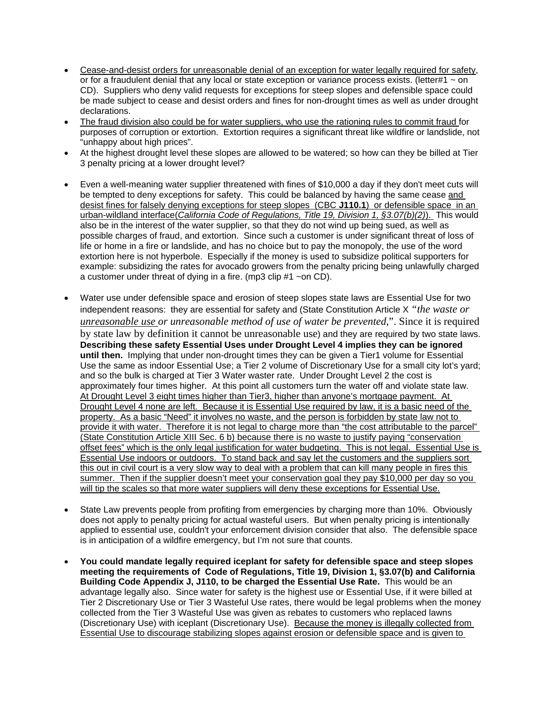- Cease-and-desist orders for unreasonable denial of an exception for water legally required for safety, or for a fraudulent denial that any local or state exception or variance process exists. (letter#1 ~ on CD). Suppliers who deny valid requests for exceptions for steep slopes and defensible space could be made subject to cease and desist orders and fines for non-drought times as well as under drought declarations.
- The fraud division also could be for water suppliers, who use the rationing rules to commit fraud for purposes of corruption or extortion. Extortion requires a significant threat like wildfire or landslide, not "unhappy about high prices".
- At the highest drought level these slopes are allowed to be watered; so how can they be billed at Tier 3 penalty pricing at a lower drought level?
- Even a well-meaning water supplier threatened with fines of \$10,000 a day if they don't meet cuts will be tempted to deny exceptions for safety. This could be balanced by having the same cease and desist fines for falsely denying exceptions for steep slopes (CBC **J110.1**) or defensible space in an urban-wildland interface(*California Code of Regulations, Title 19, Division 1, §3.07(b)(2)*). This would also be in the interest of the water supplier, so that they do not wind up being sued, as well as possible charges of fraud, and extortion. Since such a customer is under significant threat of loss of life or home in a fire or landslide, and has no choice but to pay the monopoly, the use of the word extortion here is not hyperbole. Especially if the money is used to subsidize political supporters for example: subsidizing the rates for avocado growers from the penalty pricing being unlawfully charged a customer under threat of dying in a fire. (mp3 clip #1 ~on CD).
- Water use under defensible space and erosion of steep slopes state laws are Essential Use for two independent reasons: they are essential for safety and (State Constitution Article X *"the waste or unreasonable use or unreasonable method of use of water be prevented*,". Since it is required by state law by definition it cannot be unreasonable use) and they are required by two state laws. **Describing these safety Essential Uses under Drought Level 4 implies they can be ignored until then.** Implying that under non-drought times they can be given a Tier1 volume for Essential Use the same as indoor Essential Use; a Tier 2 volume of Discretionary Use for a small city lot's yard; and so the bulk is charged at Tier 3 Water waster rate. Under Drought Level 2 the cost is approximately four times higher. At this point all customers turn the water off and violate state law. At Drought Level 3 eight times higher than Tier3, higher than anyone's mortgage payment. At Drought Level 4 none are left. Because it is Essential Use required by law, it is a basic need of the property. As a basic "Need" it involves no waste, and the person is forbidden by state law not to provide it with water. Therefore it is not legal to charge more than "the cost attributable to the parcel" (State Constitution Article XIII Sec. 6 b) because there is no waste to justify paying "conservation offset fees" which is the only legal justification for water budgeting. This is not legal. Essential Use is Essential Use indoors or outdoors. To stand back and say let the customers and the suppliers sort this out in civil court is a very slow way to deal with a problem that can kill many people in fires this summer. Then if the supplier doesn't meet your conservation goal they pay \$10,000 per day so you will tip the scales so that more water suppliers will deny these exceptions for Essential Use.
- State Law prevents people from profiting from emergencies by charging more than 10%. Obviously does not apply to penalty pricing for actual wasteful users. But when penalty pricing is intentionally applied to essential use, couldn't your enforcement division consider that also. The defensible space is in anticipation of a wildfire emergency, but I'm not sure that counts.
- **You could mandate legally required iceplant for safety for defensible space and steep slopes meeting the requirements of Code of Regulations, Title 19, Division 1, §3.07(b) and California Building Code Appendix J, J110, to be charged the Essential Use Rate.** This would be an advantage legally also. Since water for safety is the highest use or Essential Use, if it were billed at Tier 2 Discretionary Use or Tier 3 Wasteful Use rates, there would be legal problems when the money collected from the Tier 3 Wasteful Use was given as rebates to customers who replaced lawns (Discretionary Use) with iceplant (Discretionary Use). Because the money is illegally collected from Essential Use to discourage stabilizing slopes against erosion or defensible space and is given to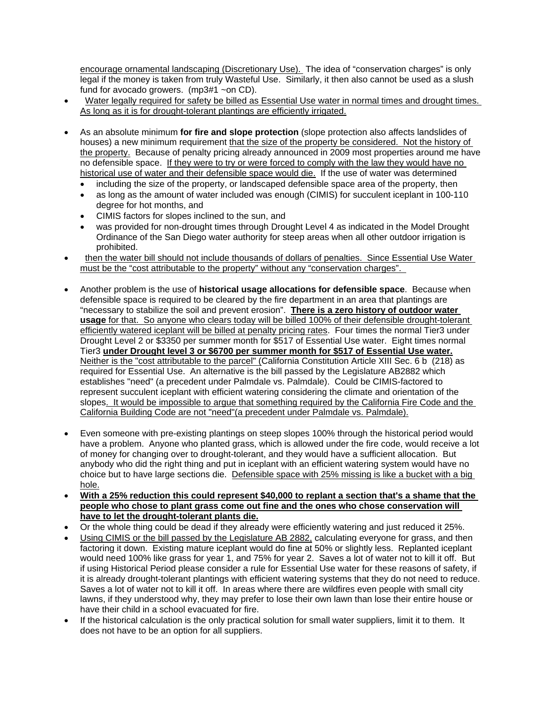encourage ornamental landscaping (Discretionary Use). The idea of "conservation charges" is only legal if the money is taken from truly Wasteful Use. Similarly, it then also cannot be used as a slush fund for avocado growers. (mp3#1 ~on CD).

- Water legally required for safety be billed as Essential Use water in normal times and drought times. As long as it is for drought-tolerant plantings are efficiently irrigated.
- As an absolute minimum **for fire and slope protection** (slope protection also affects landslides of houses) a new minimum requirement that the size of the property be considered. Not the history of the property. Because of penalty pricing already announced in 2009 most properties around me have no defensible space. If they were to try or were forced to comply with the law they would have no historical use of water and their defensible space would die. If the use of water was determined
	- including the size of the property, or landscaped defensible space area of the property, then
	- as long as the amount of water included was enough (CIMIS) for succulent iceplant in 100-110 degree for hot months, and
	- CIMIS factors for slopes inclined to the sun, and
	- was provided for non-drought times through Drought Level 4 as indicated in the Model Drought Ordinance of the San Diego water authority for steep areas when all other outdoor irrigation is prohibited.
- then the water bill should not include thousands of dollars of penalties. Since Essential Use Water must be the "cost attributable to the property" without any "conservation charges".
- Another problem is the use of **historical usage allocations for defensible space**. Because when defensible space is required to be cleared by the fire department in an area that plantings are "necessary to stabilize the soil and prevent erosion". **There is a zero history of outdoor water usage** for that. So anyone who clears today will be billed 100% of their defensible drought-tolerant efficiently watered iceplant will be billed at penalty pricing rates. Four times the normal Tier3 under Drought Level 2 or \$3350 per summer month for \$517 of Essential Use water. Eight times normal Tier3 **under Drought level 3 or \$6700 per summer month for \$517 of Essential Use water.** Neither is the "cost attributable to the parcel" (California Constitution Article XIII Sec. 6 b (218) as required for Essential Use. An alternative is the bill passed by the Legislature AB2882 which establishes "need" (a precedent under Palmdale vs. Palmdale). Could be CIMIS-factored to represent succulent iceplant with efficient watering considering the climate and orientation of the slopes. It would be impossible to argue that something required by the California Fire Code and the California Building Code are not "need"(a precedent under Palmdale vs. Palmdale).
- Even someone with pre-existing plantings on steep slopes 100% through the historical period would have a problem. Anyone who planted grass, which is allowed under the fire code, would receive a lot of money for changing over to drought-tolerant, and they would have a sufficient allocation. But anybody who did the right thing and put in iceplant with an efficient watering system would have no choice but to have large sections die. Defensible space with 25% missing is like a bucket with a big hole.
- **With a 25% reduction this could represent \$40,000 to replant a section that's a shame that the people who chose to plant grass come out fine and the ones who chose conservation will have to let the drought-tolerant plants die.**
- Or the whole thing could be dead if they already were efficiently watering and just reduced it 25%.
- Using CIMIS or the bill passed by the Legislature AB 2882, calculating everyone for grass, and then factoring it down. Existing mature iceplant would do fine at 50% or slightly less. Replanted iceplant would need 100% like grass for year 1, and 75% for year 2. Saves a lot of water not to kill it off. But if using Historical Period please consider a rule for Essential Use water for these reasons of safety, if it is already drought-tolerant plantings with efficient watering systems that they do not need to reduce. Saves a lot of water not to kill it off. In areas where there are wildfires even people with small city lawns, if they understood why, they may prefer to lose their own lawn than lose their entire house or have their child in a school evacuated for fire.
- If the historical calculation is the only practical solution for small water suppliers, limit it to them. It does not have to be an option for all suppliers.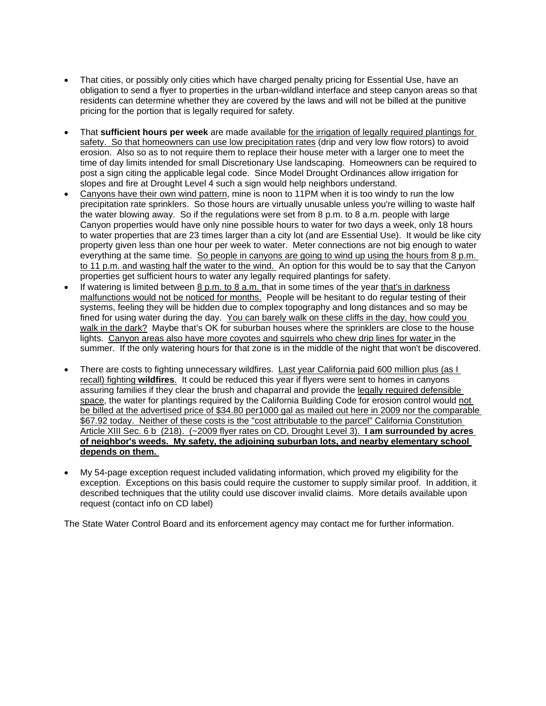- That cities, or possibly only cities which have charged penalty pricing for Essential Use, have an obligation to send a flyer to properties in the urban-wildland interface and steep canyon areas so that residents can determine whether they are covered by the laws and will not be billed at the punitive pricing for the portion that is legally required for safety.
- That **sufficient hours per week** are made available for the irrigation of legally required plantings for safety. So that homeowners can use low precipitation rates (drip and very low flow rotors) to avoid erosion. Also so as to not require them to replace their house meter with a larger one to meet the time of day limits intended for small Discretionary Use landscaping. Homeowners can be required to post a sign citing the applicable legal code. Since Model Drought Ordinances allow irrigation for slopes and fire at Drought Level 4 such a sign would help neighbors understand.
- Canyons have their own wind pattern, mine is noon to 11PM when it is too windy to run the low precipitation rate sprinklers. So those hours are virtually unusable unless you're willing to waste half the water blowing away. So if the regulations were set from 8 p.m. to 8 a.m. people with large Canyon properties would have only nine possible hours to water for two days a week, only 18 hours to water properties that are 23 times larger than a city lot (and are Essential Use). It would be like city property given less than one hour per week to water. Meter connections are not big enough to water everything at the same time. So people in canyons are going to wind up using the hours from 8 p.m. to 11 p.m. and wasting half the water to the wind. An option for this would be to say that the Canyon properties get sufficient hours to water any legally required plantings for safety.
- If watering is limited between 8 p.m. to 8 a.m. that in some times of the year that's in darkness malfunctions would not be noticed for months. People will be hesitant to do regular testing of their systems, feeling they will be hidden due to complex topography and long distances and so may be fined for using water during the day. You can barely walk on these cliffs in the day, how could you walk in the dark? Maybe that's OK for suburban houses where the sprinklers are close to the house lights. Canyon areas also have more coyotes and squirrels who chew drip lines for water in the summer. If the only watering hours for that zone is in the middle of the night that won't be discovered.
- There are costs to fighting unnecessary wildfires. Last year California paid 600 million plus (as I recall) fighting **wildfires**. It could be reduced this year if flyers were sent to homes in canyons assuring families if they clear the brush and chaparral and provide the legally required defensible space, the water for plantings required by the California Building Code for erosion control would not be billed at the advertised price of \$34.80 per1000 gal as mailed out here in 2009 nor the comparable \$67.92 today. Neither of these costs is the "cost attributable to the parcel" California Constitution Article XIII Sec. 6 b (218). (~2009 flyer rates on CD, Drought Level 3). **I am surrounded by acres of neighbor's weeds. My safety, the adjoining suburban lots, and nearby elementary school depends on them.**
- My 54-page exception request included validating information, which proved my eligibility for the exception. Exceptions on this basis could require the customer to supply similar proof. In addition, it described techniques that the utility could use discover invalid claims. More details available upon request (contact info on CD label)

The State Water Control Board and its enforcement agency may contact me for further information.